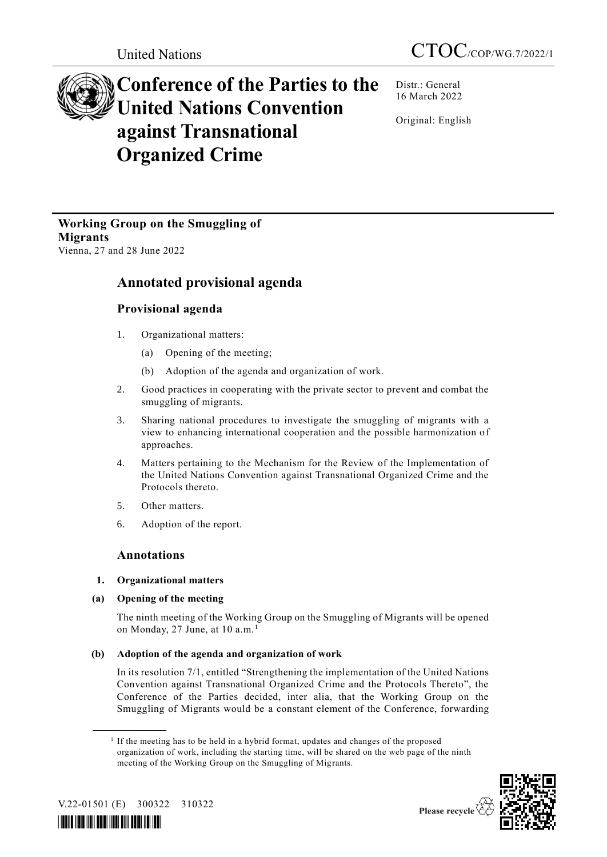# **Conference of the Parties to the United Nations Convention against Transnational Organized Crime**

Distr.: General 16 March 2022

Original: English

**Working Group on the Smuggling of Migrants** Vienna, 27 and 28 June 2022

## **Annotated provisional agenda**

## **Provisional agenda**

- 1. Organizational matters:
	- (a) Opening of the meeting;
	- (b) Adoption of the agenda and organization of work.
- 2. Good practices in cooperating with the private sector to prevent and combat the smuggling of migrants.
- 3. Sharing national procedures to investigate the smuggling of migrants with a view to enhancing international cooperation and the possible harmonization of approaches.
- 4. Matters pertaining to the Mechanism for the Review of the Implementation of the United Nations Convention against Transnational Organized Crime and the Protocols thereto.
- 5. Other matters.
- 6. Adoption of the report.

### **Annotations**

#### **1. Organizational matters**

**(a) Opening of the meeting** 

The ninth meeting of the Working Group on the Smuggling of Migrants will be opened on Monday, 27 June, at 10 a.m.<sup>1</sup>

#### **(b) Adoption of the agenda and organization of work**

In its resolution 7/1, entitled "Strengthening the implementation of the United Nations Convention against Transnational Organized Crime and the Protocols Thereto", the Conference of the Parties decided, inter alia, that the Working Group on the Smuggling of Migrants would be a constant element of the Conference, forwarding

<sup>&</sup>lt;sup>1</sup> If the meeting has to be held in a hybrid format, updates and changes of the proposed organization of work, including the starting time, will be shared on the web page of the ninth meeting of the Working Group on the Smuggling of Migrants.



V.22-01501 (E) 300322 310322

**\_\_\_\_\_\_\_\_\_\_\_\_\_\_\_\_\_\_**

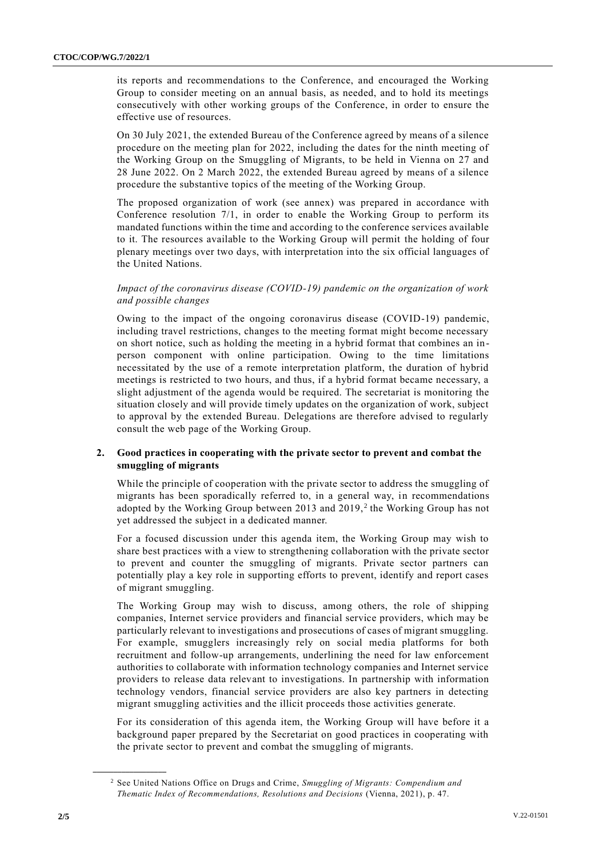its reports and recommendations to the Conference, and encouraged the Working Group to consider meeting on an annual basis, as needed, and to hold its meetings consecutively with other working groups of the Conference, in order to ensure the effective use of resources.

On 30 July 2021, the extended Bureau of the Conference agreed by means of a silence procedure on the meeting plan for 2022, including the dates for the ninth meeting of the Working Group on the Smuggling of Migrants, to be held in Vienna on 27 and 28 June 2022. On 2 March 2022, the extended Bureau agreed by means of a silence procedure the substantive topics of the meeting of the Working Group.

The proposed organization of work (see annex) was prepared in accordance with Conference resolution 7/1, in order to enable the Working Group to perform its mandated functions within the time and according to the conference services available to it. The resources available to the Working Group will permit the holding of four plenary meetings over two days, with interpretation into the six official languages of the United Nations.

#### *Impact of the coronavirus disease (COVID-19) pandemic on the organization of work and possible changes*

Owing to the impact of the ongoing coronavirus disease (COVID-19) pandemic, including travel restrictions, changes to the meeting format might become necessary on short notice, such as holding the meeting in a hybrid format that combines an inperson component with online participation. Owing to the time limitations necessitated by the use of a remote interpretation platform, the duration of hybrid meetings is restricted to two hours, and thus, if a hybrid format became necessary, a slight adjustment of the agenda would be required. The secretariat is monitoring the situation closely and will provide timely updates on the organization of work, subject to approval by the extended Bureau. Delegations are therefore advised to regularly consult the web page of the Working Group.

#### **2. Good practices in cooperating with the private sector to prevent and combat the smuggling of migrants**

While the principle of cooperation with the private sector to address the smuggling of migrants has been sporadically referred to, in a general way, in recommendations adopted by the Working Group between 2013 and 2019,<sup>2</sup> the Working Group has not yet addressed the subject in a dedicated manner.

For a focused discussion under this agenda item, the Working Group may wish to share best practices with a view to strengthening collaboration with the private sector to prevent and counter the smuggling of migrants. Private sector partners can potentially play a key role in supporting efforts to prevent, identify and report cases of migrant smuggling.

The Working Group may wish to discuss, among others, the role of shipping companies, Internet service providers and financial service providers, which may be particularly relevant to investigations and prosecutions of cases of migrant smuggling. For example, smugglers increasingly rely on social media platforms for both recruitment and follow-up arrangements, underlining the need for law enforcement authorities to collaborate with information technology companies and Internet service providers to release data relevant to investigations. In partnership with information technology vendors, financial service providers are also key partners in detecting migrant smuggling activities and the illicit proceeds those activities generate.

For its consideration of this agenda item, the Working Group will have before it a background paper prepared by the Secretariat on good practices in cooperating with the private sector to prevent and combat the smuggling of migrants.

**\_\_\_\_\_\_\_\_\_\_\_\_\_\_\_\_\_\_**

<sup>2</sup> See United Nations Office on Drugs and Crime, *Smuggling of Migrants: Compendium and Thematic Index of Recommendations, Resolutions and Decisions* (Vienna, 2021), p. 47.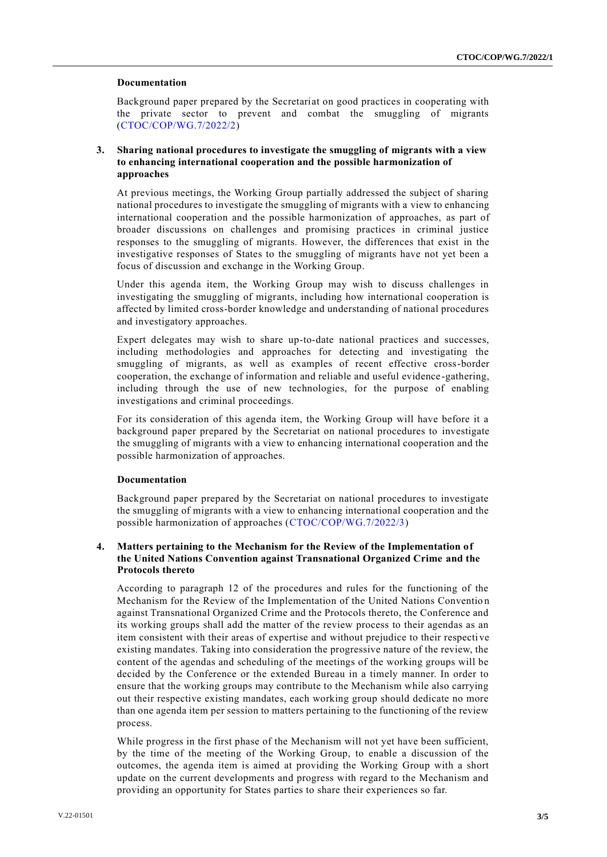#### **Documentation**

Background paper prepared by the Secretariat on good practices in cooperating with the private sector to prevent and combat the smuggling of migrants [\(CTOC/COP/WG.7/2022/2\)](http://undocs.org/CTOC/COP/WG.7/2022/2)

#### **3. Sharing national procedures to investigate the smuggling of migrants with a view to enhancing international cooperation and the possible harmonization of approaches**

At previous meetings, the Working Group partially addressed the subject of sharing national procedures to investigate the smuggling of migrants with a view to enhancing international cooperation and the possible harmonization of approaches, as part of broader discussions on challenges and promising practices in criminal justice responses to the smuggling of migrants. However, the differences that exist in the investigative responses of States to the smuggling of migrants have not yet been a focus of discussion and exchange in the Working Group.

Under this agenda item, the Working Group may wish to discuss challenges in investigating the smuggling of migrants, including how international cooperation is affected by limited cross-border knowledge and understanding of national procedures and investigatory approaches.

Expert delegates may wish to share up-to-date national practices and successes, including methodologies and approaches for detecting and investigating the smuggling of migrants, as well as examples of recent effective cross-border cooperation, the exchange of information and reliable and useful evidence -gathering, including through the use of new technologies, for the purpose of enabling investigations and criminal proceedings.

For its consideration of this agenda item, the Working Group will have before it a background paper prepared by the Secretariat on national procedures to investigate the smuggling of migrants with a view to enhancing international cooperation and the possible harmonization of approaches.

#### **Documentation**

Background paper prepared by the Secretariat on national procedures to investigate the smuggling of migrants with a view to enhancing international cooperation and the possible harmonization of approaches [\(CTOC/COP/WG.7/2022/3\)](http://undocs.org/CTOC/COP/WG.7/2022/3)

#### **4. Matters pertaining to the Mechanism for the Review of the Implementation of the United Nations Convention against Transnational Organized Crime and the Protocols thereto**

According to paragraph 12 of the procedures and rules for the functioning of the Mechanism for the Review of the Implementation of the United Nations Conventio n against Transnational Organized Crime and the Protocols thereto, the Conference and its working groups shall add the matter of the review process to their agendas as an item consistent with their areas of expertise and without prejudice to their respective existing mandates. Taking into consideration the progressive nature of the review, the content of the agendas and scheduling of the meetings of the working groups will be decided by the Conference or the extended Bureau in a timely manner. In order to ensure that the working groups may contribute to the Mechanism while also carrying out their respective existing mandates, each working group should dedicate no more than one agenda item per session to matters pertaining to the functioning of the review process.

While progress in the first phase of the Mechanism will not yet have been sufficient, by the time of the meeting of the Working Group, to enable a discussion of the outcomes, the agenda item is aimed at providing the Working Group with a short update on the current developments and progress with regard to the Mechanism and providing an opportunity for States parties to share their experiences so far.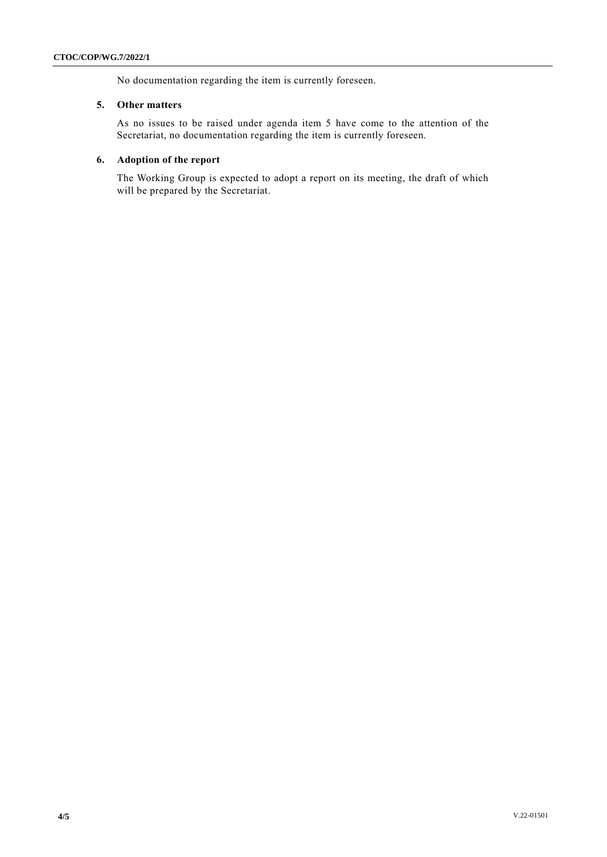No documentation regarding the item is currently foreseen.

#### **5. Other matters**

As no issues to be raised under agenda item 5 have come to the attention of the Secretariat, no documentation regarding the item is currently foreseen.

#### **6. Adoption of the report**

The Working Group is expected to adopt a report on its meeting, the draft of which will be prepared by the Secretariat.